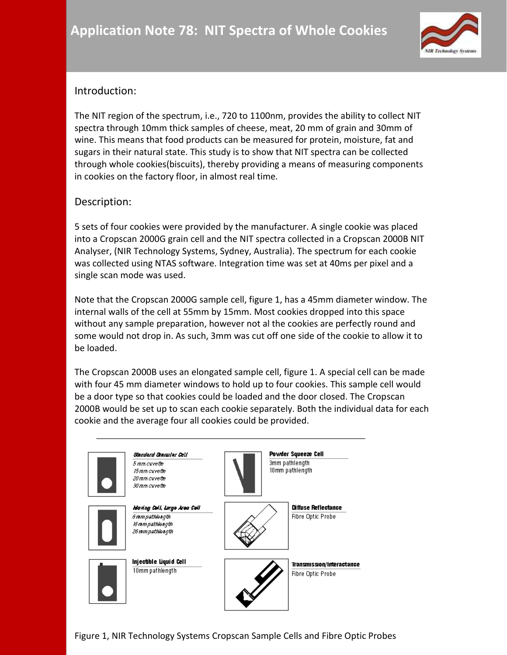

## Introduction:

The NIT region of the spectrum, i.e., 720 to 1100nm, provides the ability to collect NIT spectra through 10mm thick samples of cheese, meat, 20 mm of grain and 30mm of wine. This means that food products can be measured for protein, moisture, fat and sugars in their natural state. This study is to show that NIT spectra can be collected through whole cookies(biscuits), thereby providing a means of measuring components in cookies on the factory floor, in almost real time.

### Description:

5 sets of four cookies were provided by the manufacturer. A single cookie was placed into a Cropscan 2000G grain cell and the NIT spectra collected in a Cropscan 2000B NIT Analyser, (NIR Technology Systems, Sydney, Australia). The spectrum for each cookie was collected using NTAS software. Integration time was set at 40ms per pixel and a single scan mode was used.

Note that the Cropscan 2000G sample cell, figure 1, has a 45mm diameter window. The internal walls of the cell at 55mm by 15mm. Most cookies dropped into this space without any sample preparation, however not al the cookies are perfectly round and some would not drop in. As such, 3mm was cut off one side of the cookie to allow it to be loaded.

The Cropscan 2000B uses an elongated sample cell, figure 1. A special cell can be made with four 45 mm diameter windows to hold up to four cookies. This sample cell would be a door type so that cookies could be loaded and the door closed. The Cropscan 2000B would be set up to scan each cookie separately. Both the individual data for each cookie and the average four all cookies could be provided.

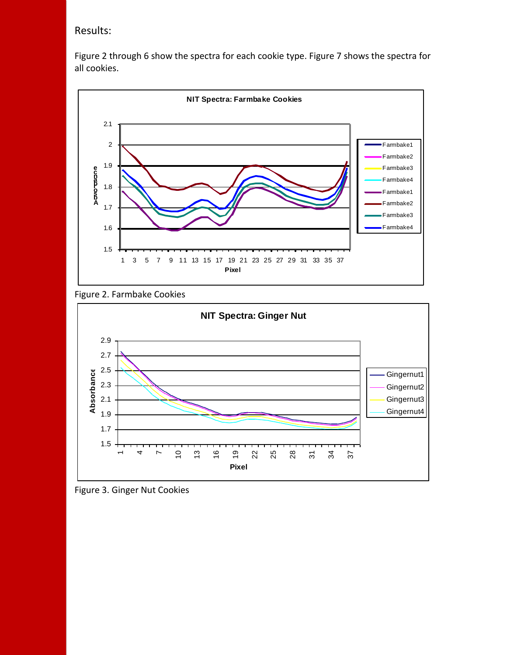### Results:

Figure 2 through 6 show the spectra for each cookie type. Figure 7 shows the spectra for all cookies.







Figure 3. Ginger Nut Cookies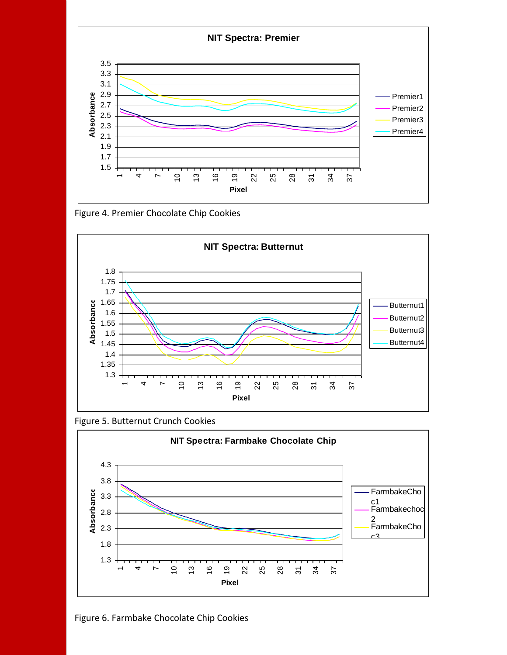

Figure 4. Premier Chocolate Chip Cookies



Figure 5. Butternut Crunch Cookies



Figure 6. Farmbake Chocolate Chip Cookies